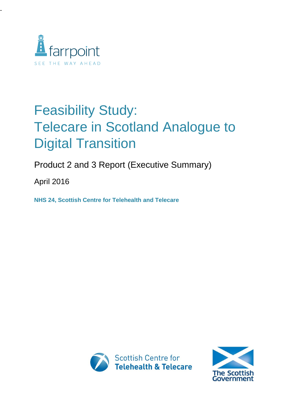

-

# Feasibility Study: Telecare in Scotland Analogue to Digital Transition

Product 2 and 3 Report (Executive Summary)

April 2016

**NHS 24, Scottish Centre for Telehealth and Telecare** 



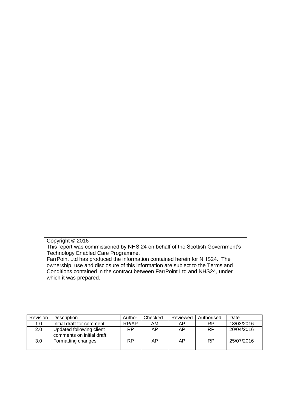#### Copyright © 2016

This report was commissioned by NHS 24 on behalf of the Scottish Government's Technology Enabled Care Programme.

FarrPoint Ltd has produced the information contained herein for NHS24. The ownership, use and disclosure of this information are subject to the Terms and Conditions contained in the contract between FarrPoint Ltd and NHS24, under which it was prepared.

| Revision         | Description                                           | Author | Checked | Reviewed | Authorised | Date       |
|------------------|-------------------------------------------------------|--------|---------|----------|------------|------------|
| 1.0              | Initial draft for comment                             | RP/AP  | AM      | AΡ       | <b>RP</b>  | 18/03/2016 |
| 2.0              | Updated following client<br>comments on initial draft | RP     | AP      | AΡ       | <b>RP</b>  | 20/04/2016 |
| 3.0 <sub>2</sub> | Formatting changes                                    | RP     | ΑP      | AΡ       | <b>RP</b>  | 25/07/2016 |
|                  |                                                       |        |         |          |            |            |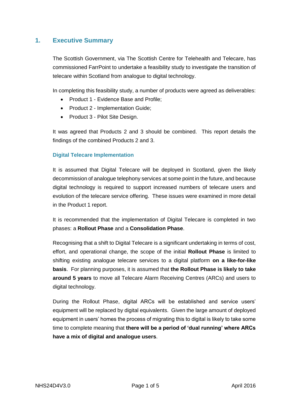### **1. Executive Summary**

The Scottish Government, via The Scottish Centre for Telehealth and Telecare, has commissioned FarrPoint to undertake a feasibility study to investigate the transition of telecare within Scotland from analogue to digital technology.

In completing this feasibility study, a number of products were agreed as deliverables:

- Product 1 Evidence Base and Profile;
- Product 2 Implementation Guide;
- Product 3 Pilot Site Design.

It was agreed that Products 2 and 3 should be combined. This report details the findings of the combined Products 2 and 3.

#### **Digital Telecare Implementation**

It is assumed that Digital Telecare will be deployed in Scotland, given the likely decommission of analogue telephony services at some point in the future, and because digital technology is required to support increased numbers of telecare users and evolution of the telecare service offering. These issues were examined in more detail in the Product 1 report.

It is recommended that the implementation of Digital Telecare is completed in two phases: a **Rollout Phase** and a **Consolidation Phase**.

Recognising that a shift to Digital Telecare is a significant undertaking in terms of cost, effort, and operational change, the scope of the initial **Rollout Phase** is limited to shifting existing analogue telecare services to a digital platform **on a like-for-like basis**. For planning purposes, it is assumed that **the Rollout Phase is likely to take around 5 years** to move all Telecare Alarm Receiving Centres (ARCs) and users to digital technology.

During the Rollout Phase, digital ARCs will be established and service users' equipment will be replaced by digital equivalents. Given the large amount of deployed equipment in users' homes the process of migrating this to digital is likely to take some time to complete meaning that **there will be a period of 'dual running' where ARCs have a mix of digital and analogue users**.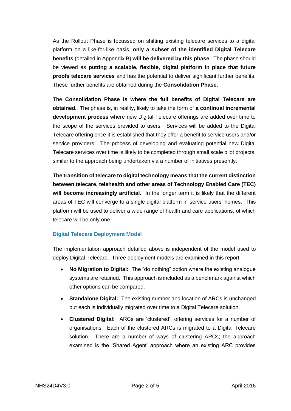As the Rollout Phase is focussed on shifting existing telecare services to a digital platform on a like-for-like basis, **only a subset of the identified Digital Telecare benefits** (detailed in Appendix B) **will be delivered by this phase**. The phase should be viewed as **putting a scalable, flexible, digital platform in place that future proofs telecare services** and has the potential to deliver significant further benefits. These further benefits are obtained during the **Consolidation Phase.**

The **Consolidation Phase is where the full benefits of Digital Telecare are obtained.** The phase is, in reality, likely to take the form of **a continual incremental development process** where new Digital Telecare offerings are added over time to the scope of the services provided to users. Services will be added to the Digital Telecare offering once it is established that they offer a benefit to service users and/or service providers. The process of developing and evaluating potential new Digital Telecare services over time is likely to be completed through small scale pilot projects, similar to the approach being undertaken via a number of initiatives presently.

**The transition of telecare to digital technology means that the current distinction between telecare, telehealth and other areas of Technology Enabled Care (TEC) will become increasingly artificial.** In the longer term it is likely that the different areas of TEC will converge to a single digital platform in service users' homes. This platform will be used to deliver a wide range of health and care applications, of which telecare will be only one.

#### **Digital Telecare Deployment Model**

The implementation approach detailed above is independent of the model used to deploy Digital Telecare. Three deployment models are examined in this report:

- **No Migration to Digital:** The "do nothing" option where the existing analogue systems are retained. This approach is included as a benchmark against which other options can be compared.
- **Standalone Digital:** The existing number and location of ARCs is unchanged but each is individually migrated over time to a Digital Telecare solution.
- **Clustered Digital:** ARCs are 'clustered', offering services for a number of organisations. Each of the clustered ARCs is migrated to a Digital Telecare solution. There are a number of ways of clustering ARCs; the approach examined is the 'Shared Agent' approach where an existing ARC provides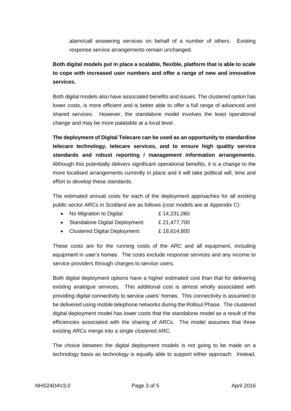alarm/call answering services on behalf of a number of others. Existing response service arrangements remain unchanged.

## **Both digital models put in place a scalable, flexible, platform that is able to scale to cope with increased user numbers and offer a range of new and innovative services.**

Both digital models also have associated benefits and issues. The clustered option has lower costs, is more efficient and is better able to offer a full range of advanced and shared services. However, the standalone model involves the least operational change and may be more palatable at a local level.

**The deployment of Digital Telecare can be used as an opportunity to standardise telecare technology, telecare services, and to ensure high quality service standards and robust reporting / management information arrangements.** Although this potentially delivers significant operational benefits, it is a change to the more localised arrangements currently in place and it will take political will, time and effort to develop these standards.

The estimated annual costs for each of the deployment approaches for all existing public sector ARCs in Scotland are as follows (cost models are at Appendix C):

- No Migration to Digital: £ 14,231,060
- Standalone Digital Deployment: £ 21,477,700
- Clustered Digital Deployment: £ 18,614,800

These costs are for the running costs of the ARC and all equipment, including equipment in user's homes. The costs exclude response services and any income to service providers through charges to service users.

Both digital deployment options have a higher estimated cost than that for delivering existing analogue services. This additional cost is almost wholly associated with providing digital connectivity to service users' homes. This connectivity is assumed to be delivered using mobile telephone networks during the Rollout Phase. The clustered digital deployment model has lower costs that the standalone model as a result of the efficiencies associated with the sharing of ARCs. The model assumes that three existing ARCs merge into a single clustered ARC.

The choice between the digital deployment models is not going to be made on a technology basis as technology is equally able to support either approach. Instead,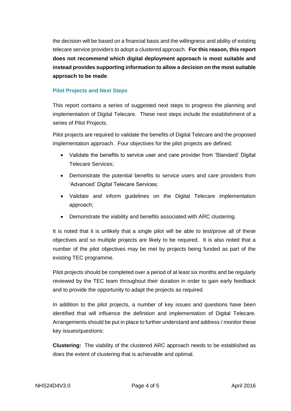the decision will be based on a financial basis and the willingness and ability of existing telecare service providers to adopt a clustered approach. **For this reason, this report does not recommend which digital deployment approach is most suitable and instead provides supporting information to allow a decision on the most suitable approach to be made**.

#### **Pilot Projects and Next Steps**

This report contains a series of suggested next steps to progress the planning and implementation of Digital Telecare. These next steps include the establishment of a series of Pilot Projects.

Pilot projects are required to validate the benefits of Digital Telecare and the proposed implementation approach. Four objectives for the pilot projects are defined:

- Validate the benefits to service user and care provider from 'Standard' Digital Telecare Services;
- Demonstrate the potential benefits to service users and care providers from 'Advanced' Digital Telecare Services;
- Validate and inform guidelines on the Digital Telecare implementation approach;
- Demonstrate the viability and benefits associated with ARC clustering.

It is noted that it is unlikely that a single pilot will be able to test/prove all of these objectives and so multiple projects are likely to be required. It is also noted that a number of the pilot objectives may be met by projects being funded as part of the existing TEC programme.

Pilot projects should be completed over a period of at least six months and be regularly reviewed by the TEC team throughout their duration in order to gain early feedback and to provide the opportunity to adapt the projects as required.

In addition to the pilot projects, a number of key issues and questions have been identified that will influence the definition and implementation of Digital Telecare. Arrangements should be put in place to further understand and address / monitor these key issues/questions:

**Clustering:** The viability of the clustered ARC approach needs to be established as does the extent of clustering that is achievable and optimal.